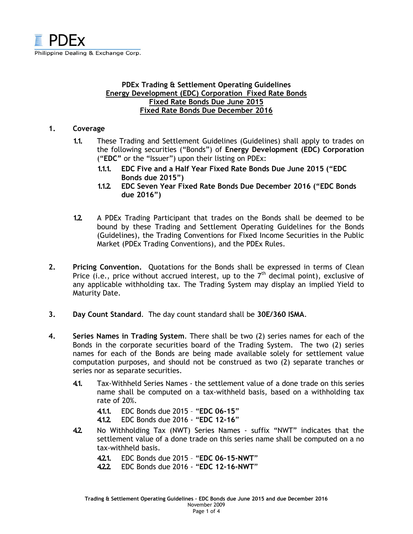

# PDEx Trading & Settlement Operating Guidelines Energy Development (EDC) Corporation Fixed Rate Bonds Fixed Rate Bonds Due June 2015 Fixed Rate Bonds Due December 2016

### 1. Coverage

- 1.1. These Trading and Settlement Guidelines (Guidelines) shall apply to trades on the following securities ("Bonds") of Energy Development (EDC) Corporation ("EDC" or the "Issuer") upon their listing on PDEx:
	- 1.1.1. EDC Five and a Half Year Fixed Rate Bonds Due June 2015 ("EDC Bonds due 2015")
	- 1.1.2. EDC Seven Year Fixed Rate Bonds Due December 2016 ("EDC Bonds due 2016")
- 1.2. A PDEx Trading Participant that trades on the Bonds shall be deemed to be bound by these Trading and Settlement Operating Guidelines for the Bonds (Guidelines), the Trading Conventions for Fixed Income Securities in the Public Market (PDEx Trading Conventions), and the PDEx Rules.
- 2. Pricing Convention. Quotations for the Bonds shall be expressed in terms of Clean Price (i.e., price without accrued interest, up to the  $7<sup>th</sup>$  decimal point), exclusive of any applicable withholding tax. The Trading System may display an implied Yield to Maturity Date.
- 3. Day Count Standard. The day count standard shall be 30E/360 ISMA.
- 4. Series Names in Trading System. There shall be two (2) series names for each of the Bonds in the corporate securities board of the Trading System. The two (2) series names for each of the Bonds are being made available solely for settlement value computation purposes, and should not be construed as two (2) separate tranches or series nor as separate securities.
	- 4.1. Tax-Withheld Series Names the settlement value of a done trade on this series name shall be computed on a tax-withheld basis, based on a withholding tax rate of 20%.
		- 4.1.1. EDC Bonds due 2015 "EDC 06-15"
		- 4.1.2. EDC Bonds due 2016 "EDC 12-16"
	- 4.2. No Withholding Tax (NWT) Series Names suffix "NWT" indicates that the settlement value of a done trade on this series name shall be computed on a no tax-withheld basis.
		- 4.2.1. EDC Bonds due 2015 "EDC 06-15-NWT"
		- 4.2.2. EDC Bonds due 2016 "EDC 12-16-NWT"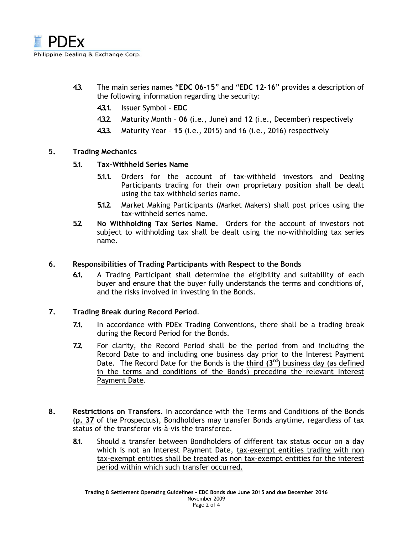

- 4.3. The main series names "EDC 06-15" and "EDC 12-16" provides a description of the following information regarding the security:
	- 4.3.1. Issuer Symbol EDC
	- 4.3.2. Maturity Month 06 (i.e., June) and 12 (i.e., December) respectively
	- 4.3.3. Maturity Year 15 (i.e., 2015) and 16 (i.e., 2016) respectively

## 5. Trading Mechanics

- 5.1. Tax-Withheld Series Name
	- 5.1.1. Orders for the account of tax-withheld investors and Dealing Participants trading for their own proprietary position shall be dealt using the tax-withheld series name.
	- 5.1.2. Market Making Participants (Market Makers) shall post prices using the tax-withheld series name.
- 5.2. No Withholding Tax Series Name. Orders for the account of investors not subject to withholding tax shall be dealt using the no-withholding tax series name.

# 6. Responsibilities of Trading Participants with Respect to the Bonds

6.1. A Trading Participant shall determine the eligibility and suitability of each buyer and ensure that the buyer fully understands the terms and conditions of, and the risks involved in investing in the Bonds.

## 7. Trading Break during Record Period.

- 7.1. In accordance with PDEx Trading Conventions, there shall be a trading break during the Record Period for the Bonds.
- 7.2. For clarity, the Record Period shall be the period from and including the Record Date to and including one business day prior to the Interest Payment Date. The Record Date for the Bonds is the  $third (3<sup>rd</sup>)$  business day (as defined in the terms and conditions of the Bonds) preceding the relevant Interest Payment Date.
- 8. Restrictions on Transfers. In accordance with the Terms and Conditions of the Bonds (p. 37 of the Prospectus), Bondholders may transfer Bonds anytime, regardless of tax status of the transferor vis-à-vis the transferee.
	- 8.1. Should a transfer between Bondholders of different tax status occur on a day which is not an Interest Payment Date, tax-exempt entities trading with non tax-exempt entities shall be treated as non tax-exempt entities for the interest period within which such transfer occurred.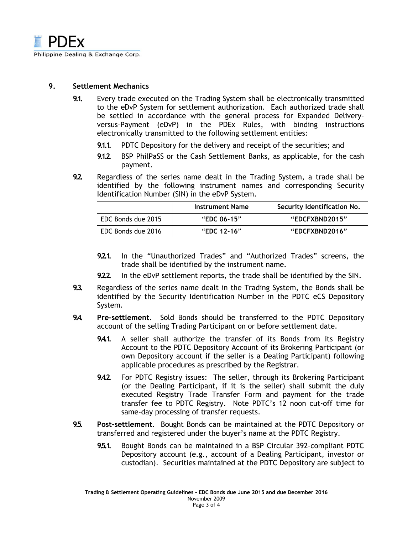

### 9. Settlement Mechanics

- 9.1. Every trade executed on the Trading System shall be electronically transmitted to the eDvP System for settlement authorization. Each authorized trade shall be settled in accordance with the general process for Expanded Deliveryversus-Payment (eDvP) in the PDEx Rules, with binding instructions electronically transmitted to the following settlement entities:
	- 9.1.1. PDTC Depository for the delivery and receipt of the securities; and
	- 9.1.2. BSP PhilPaSS or the Cash Settlement Banks, as applicable, for the cash payment.
- 9.2. Regardless of the series name dealt in the Trading System, a trade shall be identified by the following instrument names and corresponding Security Identification Number (SIN) in the eDvP System.

|                    | Instrument Name | Security Identification No. |
|--------------------|-----------------|-----------------------------|
| EDC Bonds due 2015 | "EDC 06-15"     | "EDCFXBND2015"              |
| EDC Bonds due 2016 | "EDC 12-16"     | "EDCFXBND2016"              |

- 9.2.1. In the "Unauthorized Trades" and "Authorized Trades" screens, the trade shall be identified by the instrument name.
- 9.2.2. In the eDvP settlement reports, the trade shall be identified by the SIN.
- 9.3. Regardless of the series name dealt in the Trading System, the Bonds shall be identified by the Security Identification Number in the PDTC eCS Depository System.
- 9.4. Pre-settlement. Sold Bonds should be transferred to the PDTC Depository account of the selling Trading Participant on or before settlement date.
	- 9.4.1. A seller shall authorize the transfer of its Bonds from its Registry Account to the PDTC Depository Account of its Brokering Participant (or own Depository account if the seller is a Dealing Participant) following applicable procedures as prescribed by the Registrar.
	- 9.4.2. For PDTC Registry issues: The seller, through its Brokering Participant (or the Dealing Participant, if it is the seller) shall submit the duly executed Registry Trade Transfer Form and payment for the trade transfer fee to PDTC Registry. Note PDTC's 12 noon cut-off time for same-day processing of transfer requests.
- 9.5. Post-settlement. Bought Bonds can be maintained at the PDTC Depository or transferred and registered under the buyer's name at the PDTC Registry.
	- 9.5.1. Bought Bonds can be maintained in a BSP Circular 392-compliant PDTC Depository account (e.g., account of a Dealing Participant, investor or custodian). Securities maintained at the PDTC Depository are subject to